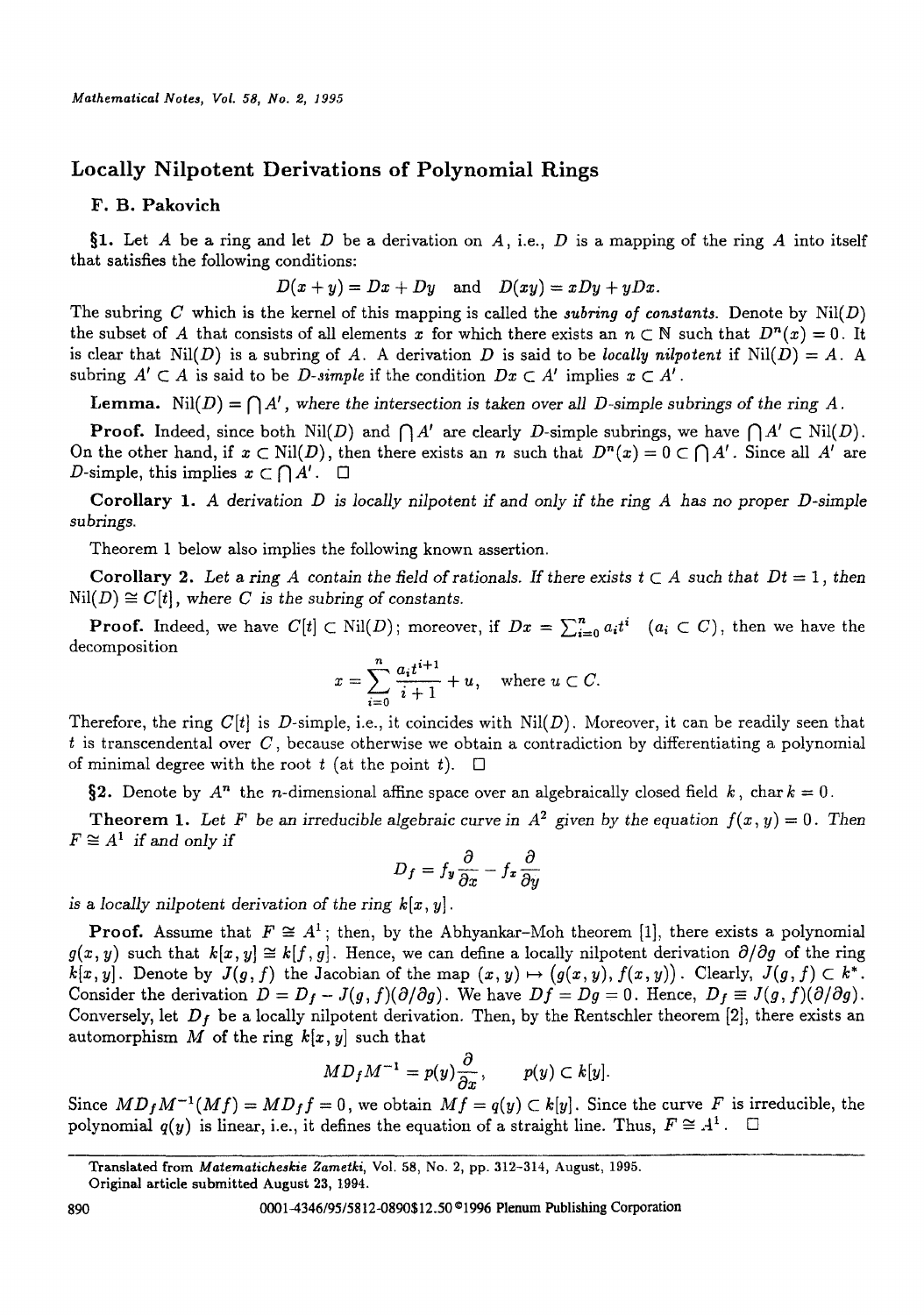# **Locally Nilpotent Derivations of Polynomial Rings**

## **F. B. Pakovich**

§1. Let A be a ring and let D be a derivation on A, i.e., D is a mapping of the ring A into itself that satisfies the following conditions:

$$
D(x + y) = Dx + Dy \quad \text{and} \quad D(xy) = xDy + yDx.
$$

The subring C which is the kernel of this mapping is called the *subring of constants*. Denote by  $\text{Nil}(D)$ the subset of A that consists of all elements x for which there exists an  $n \subset \mathbb{N}$  such that  $D^n(x) = 0$ . It is clear that  $\text{Nil}(D)$  is a subring of A. A derivation D is said to be *locally nilpotent* if  $\text{Nil}(D) = A$ . A subring  $A' \subset A$  is said to be *D*-simple if the condition  $Dx \subset A'$  implies  $x \subset A'$ .

Lemma. Nil(D) =  $\bigcap A'$ , where the intersection is taken over all D-simple subrings of the ring A.

**Proof.** Indeed, since both  $\text{Nil}(D)$  and  $\bigcap A'$  are clearly D-simple subrings, we have  $\bigcap A' \subset \text{Nil}(D)$ . On the other hand, if z C Nil(D), then there exists an n such that *Dn(x) = 0 C ~ A'.* Since all A' are D-simple, this implies  $x \in \bigcap A'$ .  $\Box$ 

**Corollary** *1. A derivation D is locally nilpotent if and only if* the *ring A has no proper D-simple subrings.* 

Theorem 1 below also implies the following known assertion.

Corollary 2. Let a ring A contain the field of rationals. If there exists  $t \subset A$  such that  $Dt = 1$ , then  $Nil(D) \cong C[t]$ , where *C* is the *subring* of *constants*.

**Proof.** Indeed, we have  $C[t] \subset Nil(D)$ ; moreover, if  $Dx = \sum_{i=0}^{n} a_i t^i$   $(a_i \subset C)$ , then we have the decomposition

$$
x = \sum_{i=0}^{n} \frac{a_i t^{i+1}}{i+1} + u, \quad \text{where } u \subset C.
$$

Therefore, the ring  $C[t]$  is D-simple, i.e., it coincides with  $Nil(D)$ . Moreover, it can be readily seen that  $t$  is transcendental over  $C$ , because otherwise we obtain a contradiction by differentiating a polynomial of minimal degree with the root t (at the point t).  $\square$ 

§2. Denote by  $A^n$  the *n*-dimensional affine space over an algebraically closed field k, char  $k = 0$ .

Theorem 1. Let F be an irreducible algebraic curve in  $A^2$  given by the equation  $f(x, y) = 0$ . Then  $F \cong A^1$  *if and only if* 

$$
D_f = f_y \frac{\partial}{\partial x} - f_x \frac{\partial}{\partial y}
$$

is a *locally nilpotent derivation of the* ring *k[x, y].* 

**Proof.** Assume that  $F \cong A^1$ ; then, by the Abhyankar-Moh theorem [1], there exists a polynomial  $g(x, y)$  such that  $k[x, y] \cong k[f, g]$ . Hence, we can define a locally nilpotent derivation  $\partial/\partial g$  of the ring  $k[x, y]$ . Denote by  $J(g, f)$  the Jacobian of the map  $(x, y) \mapsto (g(x, y), f(x, y))$ . Clearly,  $J(g, f) \subset k^*$ . Consider the derivation  $D = D_f - J(g, f)(\partial/\partial g)$ . We have  $Df = Dg = 0$ . Hence,  $D_f \equiv J(g, f)(\partial/\partial g)$ . Conversely, let  $D_f$  be a locally nilpotent derivation. Then, by the Rentschler theorem [2], there exists an automorphism M of the ring  $k[x, y]$  such that

$$
MD_fM^{-1} = p(y)\frac{\partial}{\partial x}, \qquad p(y) \subset k[y].
$$

Since  $MD_fM^{-1}(Mf) = MD_f f = 0$ , we obtain  $Mf = q(y) \subset k[y]$ . Since the curve F is irreducible, the polynomial  $q(y)$  is linear, i.e., it defines the equation of a straight line. Thus,  $F \cong A^1$ .  $\Box$ 

Translated from *Matematicheskie Zametki*, Vol. 58, No. 2, pp. 312-314, August, 1995.

**Original article** submitted August 23, 1994.